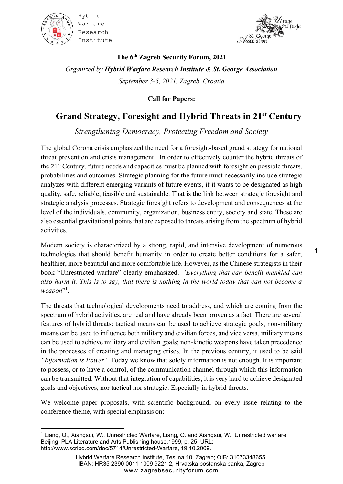



**The 6 th Zagreb Security Forum, 2021** *Organized by Hybrid Warfare Research Institute & St. George Association September 3-5, 2021, Zagreb, Croatia*

**Call for Papers:**

## **Grand Strategy, Foresight and Hybrid Threats in 21st Century**

*Strengthening Democracy, Protecting Freedom and Society*

The global Corona crisis emphasized the need for a foresight-based grand strategy for national threat prevention and crisis management. In order to effectively counter the hybrid threats of the 21st Century, future needs and capacities must be planned with foresight on possible threats, probabilities and outcomes. Strategic planning for the future must necessarily include strategic analyzes with different emerging variants of future events, if it wants to be designated as high quality, safe, reliable, feasible and sustainable. That is the link between strategic foresight and strategic analysis processes. Strategic foresight refers to development and consequences at the level of the individuals, community, organization, business entity, society and state. These are also essential gravitational points that are exposed to threats arising from the spectrum of hybrid activities.

Modern society is characterized by a strong, rapid, and intensive development of numerous technologies that should benefit humanity in order to create better conditions for a safer, healthier, more beautiful and more comfortable life. However, as the Chinese strategists in their book "Unrestricted warfare" clearly emphasized*: "Everything that can benefit mankind can also harm it. This is to say, that there is nothing in the world today that can not become a*  weapon"<sup>1</sup>.

The threats that technological developments need to address, and which are coming from the spectrum of hybrid activities, are real and have already been proven as a fact. There are several features of hybrid threats: tactical means can be used to achieve strategic goals, non-military means can be used to influence both military and civilian forces, and vice versa, military means can be used to achieve military and civilian goals; non-kinetic weapons have taken precedence in the processes of creating and managing crises. In the previous century, it used to be said *"Information is Power*". Today we know that solely information is not enough. It is important to possess, or to have a control, of the communication channel through which this information can be transmitted. Without that integration of capabilities, it is very hard to achieve designated goals and objectives, nor tactical nor strategic. Especially in hybrid threats.

We welcome paper proposals, with scientific background, on every issue relating to the conference theme, with special emphasis on:

<sup>&</sup>lt;sup>1</sup> Liang, Q., Xiangsui, W., Unrestricted Warfare, Liang, Q. and Xiangsui, W.: Unrestricted warfare, Beijing, PLA Literature and Arts Publishing house,1999, p. 25, URL: http://www.scribd.com/doc/5714/Unrestricted-Warfare, 19.10.2009.